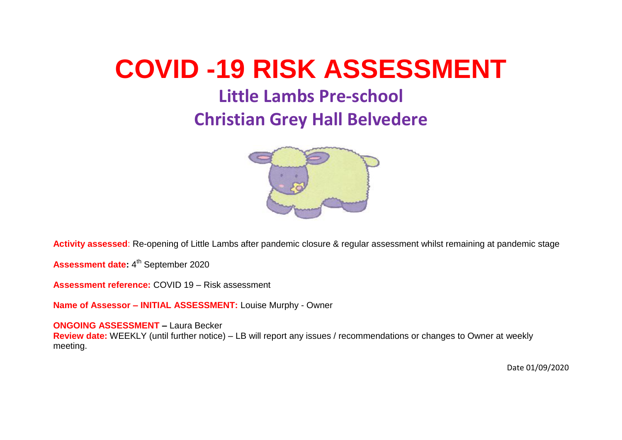# **COVID -19 RISK ASSESSMENT**

# **Little Lambs Pre-school**

## **Christian Grey Hall Belvedere**



**Activity assessed**: Re-opening of Little Lambs after pandemic closure & regular assessment whilst remaining at pandemic stage

Assessment date: 4<sup>th</sup> September 2020

**Assessment reference:** COVID 19 – Risk assessment

**Name of Assessor – INITIAL ASSESSMENT:** Louise Murphy - Owner

**ONGOING ASSESSMENT –** Laura Becker

**Review date:** WEEKLY (until further notice) – LB will report any issues / recommendations or changes to Owner at weekly meeting.

Date 01/09/2020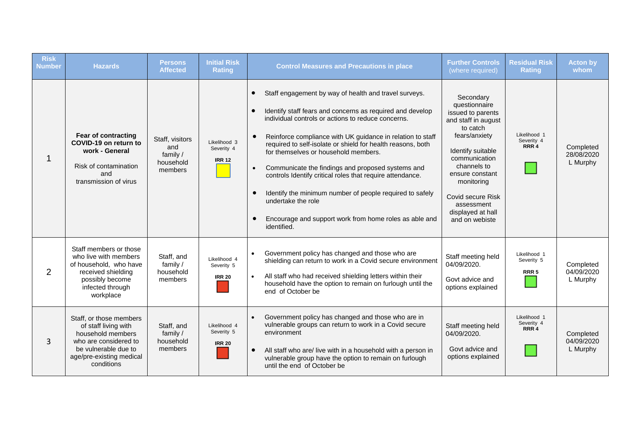| <b>Risk</b><br><b>Number</b> | <b>Hazards</b>                                                                                                                                                  | <b>Persons</b><br><b>Affected</b>                          | <b>Initial Risk</b><br><b>Rating</b>        | <b>Control Measures and Precautions in place</b>                                                                                                                                                                                                                                                                                                                                                                                                                                                                                                                                                                                                                               | <b>Further Controls</b><br>(where required)                                                                                                                                                                                                                         | <b>Residual Risk</b><br><b>Rating</b>          | <b>Acton by</b><br>whom             |
|------------------------------|-----------------------------------------------------------------------------------------------------------------------------------------------------------------|------------------------------------------------------------|---------------------------------------------|--------------------------------------------------------------------------------------------------------------------------------------------------------------------------------------------------------------------------------------------------------------------------------------------------------------------------------------------------------------------------------------------------------------------------------------------------------------------------------------------------------------------------------------------------------------------------------------------------------------------------------------------------------------------------------|---------------------------------------------------------------------------------------------------------------------------------------------------------------------------------------------------------------------------------------------------------------------|------------------------------------------------|-------------------------------------|
|                              | <b>Fear of contracting</b><br>COVID-19 on return to<br>work - General<br>Risk of contamination<br>and<br>transmission of virus                                  | Staff, visitors<br>and<br>family /<br>household<br>members | Likelihood 3<br>Severity 4<br><b>IRR 12</b> | Staff engagement by way of health and travel surveys.<br>$\bullet$<br>Identify staff fears and concerns as required and develop<br>$\bullet$<br>individual controls or actions to reduce concerns.<br>Reinforce compliance with UK guidance in relation to staff<br>required to self-isolate or shield for health reasons, both<br>for themselves or household members.<br>Communicate the findings and proposed systems and<br>$\bullet$<br>controls Identify critical roles that require attendance.<br>Identify the minimum number of people required to safely<br>$\bullet$<br>undertake the role<br>Encourage and support work from home roles as able and<br>identified. | Secondary<br>questionnaire<br>issued to parents<br>and staff in august<br>to catch<br>fears/anxiety<br>Identify suitable<br>communication<br>channels to<br>ensure constant<br>monitoring<br>Covid secure Risk<br>assessment<br>displayed at hall<br>and on webiste | Likelihood 1<br>Severity 4<br>RRR <sub>4</sub> | Completed<br>28/08/2020<br>L Murphy |
| 2                            | Staff members or those<br>who live with members<br>of household, who have<br>received shielding<br>possibly become<br>infected through<br>workplace             | Staff, and<br>family /<br>household<br>members             | Likelihood 4<br>Severity 5<br><b>IRR 20</b> | Government policy has changed and those who are<br>$\bullet$<br>shielding can return to work in a Covid secure environment<br>All staff who had received shielding letters within their<br>$\bullet$<br>household have the option to remain on furlough until the<br>end of October be                                                                                                                                                                                                                                                                                                                                                                                         | Staff meeting held<br>04/09/2020.<br>Govt advice and<br>options explained                                                                                                                                                                                           | Likelihood 1<br>Severity 5<br>RRR <sub>5</sub> | Completed<br>04/09/2020<br>L Murphy |
| 3                            | Staff, or those members<br>of staff living with<br>household members<br>who are considered to<br>be vulnerable due to<br>age/pre-existing medical<br>conditions | Staff, and<br>family /<br>household<br>members             | Likelihood 4<br>Severity 5<br><b>IRR 20</b> | Government policy has changed and those who are in<br>$\bullet$<br>vulnerable groups can return to work in a Covid secure<br>environment<br>All staff who are/ live with in a household with a person in<br>vulnerable group have the option to remain on furlough<br>until the end of October be                                                                                                                                                                                                                                                                                                                                                                              | Staff meeting held<br>04/09/2020.<br>Govt advice and<br>options explained                                                                                                                                                                                           | Likelihood 1<br>Severity 4<br>RRR 4            | Completed<br>04/09/2020<br>L Murphy |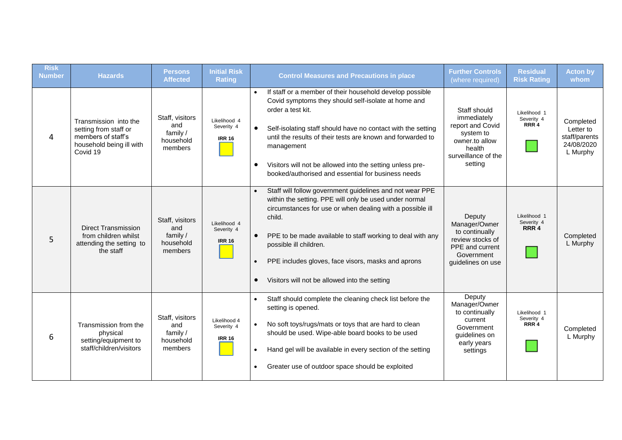| <b>Risk</b><br><b>Number</b> | <b>Hazards</b>                                                                                               | Persons<br><b>Affected</b>                                 | <b>Initial Risk</b><br><b>Rating</b>        | <b>Control Measures and Precautions in place</b>                                                                                                                                                                                                                                                                                                                                                                  | <b>Further Controls</b><br>(where required)                                                                                | <b>Residual</b><br><b>Risk Rating</b> | <b>Acton by</b><br>whom                                           |
|------------------------------|--------------------------------------------------------------------------------------------------------------|------------------------------------------------------------|---------------------------------------------|-------------------------------------------------------------------------------------------------------------------------------------------------------------------------------------------------------------------------------------------------------------------------------------------------------------------------------------------------------------------------------------------------------------------|----------------------------------------------------------------------------------------------------------------------------|---------------------------------------|-------------------------------------------------------------------|
| 4                            | Transmission into the<br>setting from staff or<br>members of staff's<br>household being ill with<br>Covid 19 | Staff, visitors<br>and<br>family /<br>household<br>members | Likelihood 4<br>Severity 4<br><b>IRR 16</b> | If staff or a member of their household develop possible<br>Covid symptoms they should self-isolate at home and<br>order a test kit.<br>Self-isolating staff should have no contact with the setting<br>$\bullet$<br>until the results of their tests are known and forwarded to<br>management<br>Visitors will not be allowed into the setting unless pre-<br>booked/authorised and essential for business needs | Staff should<br>immediately<br>report and Covid<br>system to<br>owner.to allow<br>health<br>surveillance of the<br>setting | Likelihood 1<br>Severity 4<br>RRR 4   | Completed<br>Letter to<br>staff/parents<br>24/08/2020<br>L Murphy |
| 5                            | <b>Direct Transmission</b><br>from children whilst<br>attending the setting to<br>the staff                  | Staff, visitors<br>and<br>family /<br>household<br>members | Likelihood 4<br>Severity 4<br><b>IRR 16</b> | Staff will follow government guidelines and not wear PPE<br>within the setting. PPE will only be used under normal<br>circumstances for use or when dealing with a possible ill<br>child.<br>PPE to be made available to staff working to deal with any<br>possible ill children.<br>PPE includes gloves, face visors, masks and aprons<br>Visitors will not be allowed into the setting                          | Deputy<br>Manager/Owner<br>to continually<br>review stocks of<br>PPE and current<br>Government<br>guidelines on use        | Likelihood 1<br>Severity 4<br>RRR 4   | Completed<br>L Murphy                                             |
| 6                            | Transmission from the<br>physical<br>setting/equipment to<br>staff/children/visitors                         | Staff, visitors<br>and<br>family /<br>household<br>members | Likelihood 4<br>Severity 4<br><b>IRR 16</b> | Staff should complete the cleaning check list before the<br>$\bullet$<br>setting is opened.<br>No soft toys/rugs/mats or toys that are hard to clean<br>should be used. Wipe-able board books to be used<br>Hand gel will be available in every section of the setting<br>Greater use of outdoor space should be exploited                                                                                        | Deputy<br>Manager/Owner<br>to continually<br>current<br>Government<br>guidelines on<br>early years<br>settings             | Likelihood 1<br>Severity 4<br>RRR 4   | Completed<br>L Murphy                                             |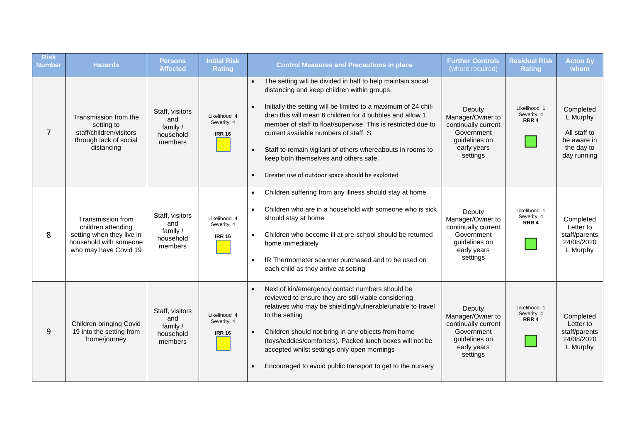| <b>Risk</b><br><b>Number</b> | <b>Hazards</b>                                                                                                                      | <b>Persons</b><br><b>Affected</b>                                           | <b>Initial Risk</b><br><b>Rating</b>                                                                                                                                                                                                                                                                                                                                                                                                                                                                                                                         | <b>Control Measures and Precautions in place</b>                                                                                                                                                                                                                                                                                                                                                                        | <b>Further Controls</b><br>(where required)                                                                 | <b>Residual Risk</b><br><b>Rating</b>                                                                                                                                                                                                 | <b>Acton by</b><br>whom                                                                                     |                                                |                                                                   |
|------------------------------|-------------------------------------------------------------------------------------------------------------------------------------|-----------------------------------------------------------------------------|--------------------------------------------------------------------------------------------------------------------------------------------------------------------------------------------------------------------------------------------------------------------------------------------------------------------------------------------------------------------------------------------------------------------------------------------------------------------------------------------------------------------------------------------------------------|-------------------------------------------------------------------------------------------------------------------------------------------------------------------------------------------------------------------------------------------------------------------------------------------------------------------------------------------------------------------------------------------------------------------------|-------------------------------------------------------------------------------------------------------------|---------------------------------------------------------------------------------------------------------------------------------------------------------------------------------------------------------------------------------------|-------------------------------------------------------------------------------------------------------------|------------------------------------------------|-------------------------------------------------------------------|
| 7                            | Transmission from the<br>setting to<br>staff/children/visitors<br>through lack of social<br>distancing                              | Staff, visitors<br>and<br>family /<br>household<br>members                  | The setting will be divided in half to help maintain social<br>distancing and keep children within groups.<br>Initially the setting will be limited to a maximum of 24 chil-<br>dren this will mean 6 children for 4 bubbles and allow 1<br>Likelihood 4<br>Severity 4<br>member of staff to float/supervise. This is restricted due to<br>current available numbers of staff. S<br><b>IRR 16</b><br>Staff to remain vigilant of others whereabouts in rooms to<br>keep both themselves and others safe.<br>Greater use of outdoor space should be exploited |                                                                                                                                                                                                                                                                                                                                                                                                                         | Deputy<br>Manager/Owner to<br>continually current<br>Government<br>guidelines on<br>early years<br>settings | Likelihood 1<br>Severity 4<br>RRR 4                                                                                                                                                                                                   | Completed<br>L Murphy<br>All staff to<br>be aware in<br>the day to<br>day running                           |                                                |                                                                   |
| 8                            | Transmission from<br>children attending<br>setting when they live in<br>household with someone<br>who may have Covid 19             | Staff, visitors<br>and<br>family /<br><b>IRR 16</b><br>household<br>members |                                                                                                                                                                                                                                                                                                                                                                                                                                                                                                                                                              | should stay at home<br>Likelihood 4<br>Severity 4<br>home immediately<br>each child as they arrive at setting                                                                                                                                                                                                                                                                                                           |                                                                                                             | Children suffering from any illness should stay at home<br>Children who are in a household with someone who is sick<br>Children who become ill at pre-school should be returned<br>IR Thermometer scanner purchased and to be used on | Deputy<br>Manager/Owner to<br>continually current<br>Government<br>guidelines on<br>early years<br>settings | Likelihood 1<br>Severity 4<br>RRR <sub>4</sub> | Completed<br>Letter to<br>staff/parents<br>24/08/2020<br>L Murphy |
| 9                            | Staff, visitors<br>and<br>Children bringing Covid<br>family $/$<br>19 into the setting from<br>household<br>home/journey<br>members |                                                                             | Likelihood 4<br>Severity 4<br><b>IRR 16</b>                                                                                                                                                                                                                                                                                                                                                                                                                                                                                                                  | Next of kin/emergency contact numbers should be<br>reviewed to ensure they are still viable considering<br>relatives who may be shielding/vulnerable/unable to travel<br>to the setting<br>Children should not bring in any objects from home<br>(toys/teddies/comforters). Packed lunch boxes will not be<br>accepted whilst settings only open mornings<br>Encouraged to avoid public transport to get to the nursery | Deputy<br>Manager/Owner to<br>continually current<br>Government<br>guidelines on<br>early years<br>settings | Likelihood 1<br>Severity 4<br>RRR 4                                                                                                                                                                                                   | Completed<br>Letter to<br>staff/parents<br>24/08/2020<br>L Murphy                                           |                                                |                                                                   |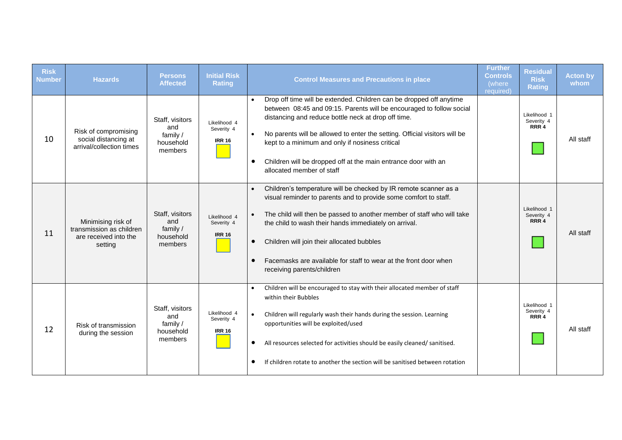| <b>Risk</b><br><b>Number</b> | <b>Hazards</b>                                                                     | <b>Persons</b><br><b>Affected</b>                          | <b>Initial Risk</b><br><b>Rating</b>        | <b>Control Measures and Precautions in place</b>                                                                                                                                                                                                                                                                                                                                                                                     | <b>Further</b><br><b>Controls</b><br>(where)<br>required) | <b>Residual</b><br><b>Risk</b><br><b>Rating</b> | <b>Acton by</b><br>whom |
|------------------------------|------------------------------------------------------------------------------------|------------------------------------------------------------|---------------------------------------------|--------------------------------------------------------------------------------------------------------------------------------------------------------------------------------------------------------------------------------------------------------------------------------------------------------------------------------------------------------------------------------------------------------------------------------------|-----------------------------------------------------------|-------------------------------------------------|-------------------------|
| 10                           | Risk of compromising<br>social distancing at<br>arrival/collection times           | Staff, visitors<br>and<br>family /<br>household<br>members | Likelihood 4<br>Severity 4<br><b>IRR 16</b> | Drop off time will be extended. Children can be dropped off anytime<br>between 08:45 and 09:15. Parents will be encouraged to follow social<br>distancing and reduce bottle neck at drop off time.<br>No parents will be allowed to enter the setting. Official visitors will be<br>kept to a minimum and only if nosiness critical<br>Children will be dropped off at the main entrance door with an<br>allocated member of staff   |                                                           | Likelihood 1<br>Severity 4<br>RRR 4             | All staff               |
| 11                           | Minimising risk of<br>transmission as children<br>are received into the<br>setting | Staff, visitors<br>and<br>family /<br>household<br>members | Likelihood 4<br>Severity 4<br><b>IRR 16</b> | Children's temperature will be checked by IR remote scanner as a<br>visual reminder to parents and to provide some comfort to staff.<br>The child will then be passed to another member of staff who will take<br>the child to wash their hands immediately on arrival.<br>Children will join their allocated bubbles<br>$\bullet$<br>Facemasks are available for staff to wear at the front door when<br>receiving parents/children |                                                           | Likelihood 1<br>Severity 4<br>RRR 4             | All staff               |
| 12                           | Risk of transmission<br>during the session                                         | Staff, visitors<br>and<br>family /<br>household<br>members | Likelihood 4<br>Severity 4<br><b>IRR 16</b> | Children will be encouraged to stay with their allocated member of staff<br>within their Bubbles<br>Children will regularly wash their hands during the session. Learning<br>$\bullet$<br>opportunities will be exploited/used<br>All resources selected for activities should be easily cleaned/ sanitised.<br>$\bullet$<br>If children rotate to another the section will be sanitised between rotation                            |                                                           | Likelihood 1<br>Severity 4<br>RRR 4             | All staff               |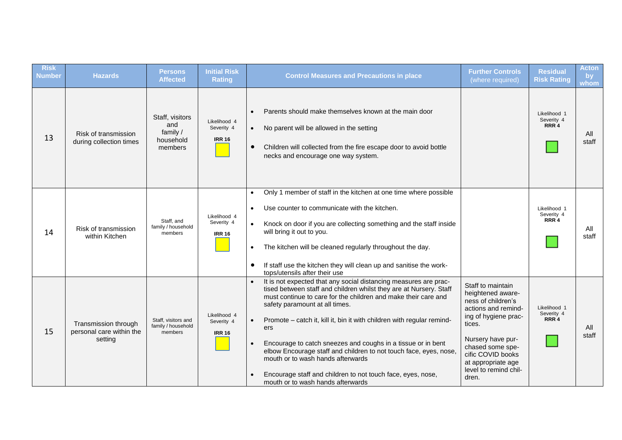| <b>Risk</b><br><b>Number</b> | <b>Hazards</b>                                              | Persons<br><b>Affected</b>                                 | <b>Initial Risk</b><br><b>Rating</b>        | <b>Control Measures and Precautions in place</b>                                                                                                                                                                                                                                                                                                                                                                                                                                                                                                                                                                       | <b>Further Controls</b><br>(where required)                                                                                                                                                                                                 | <b>Residual</b><br><b>Risk Rating</b>          | <b>Acton</b><br>$\mathbf{b}$<br>whom |
|------------------------------|-------------------------------------------------------------|------------------------------------------------------------|---------------------------------------------|------------------------------------------------------------------------------------------------------------------------------------------------------------------------------------------------------------------------------------------------------------------------------------------------------------------------------------------------------------------------------------------------------------------------------------------------------------------------------------------------------------------------------------------------------------------------------------------------------------------------|---------------------------------------------------------------------------------------------------------------------------------------------------------------------------------------------------------------------------------------------|------------------------------------------------|--------------------------------------|
| 13                           | Risk of transmission<br>during collection times             | Staff, visitors<br>and<br>family /<br>household<br>members | Likelihood 4<br>Severity 4<br><b>IRR 16</b> | Parents should make themselves known at the main door<br>$\bullet$<br>No parent will be allowed in the setting<br>$\bullet$<br>Children will collected from the fire escape door to avoid bottle<br>$\bullet$<br>necks and encourage one way system.                                                                                                                                                                                                                                                                                                                                                                   |                                                                                                                                                                                                                                             | Likelihood 1<br>Severity 4<br>RRR <sub>4</sub> | All<br>staff                         |
| 14                           | Risk of transmission<br>within Kitchen                      | Staff, and<br>family / household<br>members                | Likelihood 4<br>Severity 4<br><b>IRR 16</b> | Only 1 member of staff in the kitchen at one time where possible<br>$\bullet$<br>Use counter to communicate with the kitchen.<br>$\bullet$<br>Knock on door if you are collecting something and the staff inside<br>$\bullet$<br>will bring it out to you.<br>The kitchen will be cleaned regularly throughout the day.<br>$\bullet$<br>If staff use the kitchen they will clean up and sanitise the work-<br>$\bullet$<br>tops/utensils after their use                                                                                                                                                               |                                                                                                                                                                                                                                             | Likelihood 1<br>Severity 4<br>RRR <sub>4</sub> | All<br>staff                         |
| 15                           | Transmission through<br>personal care within the<br>setting | Staff, visitors and<br>family / household<br>members       | Likelihood 4<br>Severity 4<br><b>IRR 16</b> | It is not expected that any social distancing measures are prac-<br>$\bullet$<br>tised between staff and children whilst they are at Nursery. Staff<br>must continue to care for the children and make their care and<br>safety paramount at all times.<br>Promote - catch it, kill it, bin it with children with regular remind-<br>ers<br>Encourage to catch sneezes and coughs in a tissue or in bent<br>elbow Encourage staff and children to not touch face, eyes, nose,<br>mouth or to wash hands afterwards<br>Encourage staff and children to not touch face, eyes, nose,<br>mouth or to wash hands afterwards | Staff to maintain<br>heightened aware-<br>ness of children's<br>actions and remind-<br>ing of hygiene prac-<br>tices.<br>Nursery have pur-<br>chased some spe-<br>cific COVID books<br>at appropriate age<br>level to remind chil-<br>dren. | Likelihood 1<br>Severity 4<br>RRR 4            | All<br>staff                         |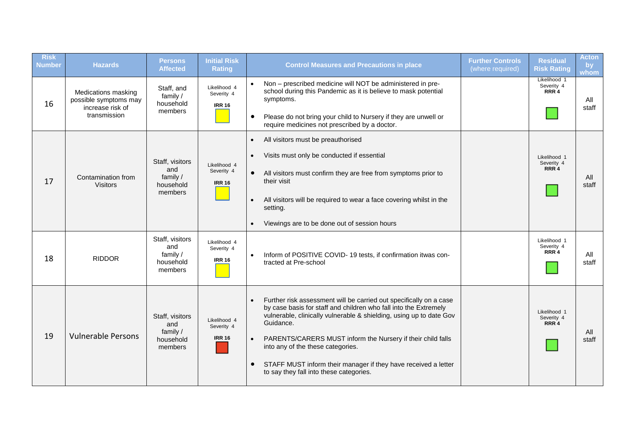| <b>Risk</b><br><b>Number</b> | <b>Hazards</b>                                                   | <b>Persons</b><br><b>Affected</b>                          | <b>Initial Risk</b><br><b>Rating</b>        | <b>Control Measures and Precautions in place</b>                                                                                                                                                                                        | <b>Further Controls</b><br>(where required) | <b>Residual</b><br><b>Risk Rating</b>          | <b>Acton</b><br>by<br>whom |
|------------------------------|------------------------------------------------------------------|------------------------------------------------------------|---------------------------------------------|-----------------------------------------------------------------------------------------------------------------------------------------------------------------------------------------------------------------------------------------|---------------------------------------------|------------------------------------------------|----------------------------|
| 16                           | Medications masking<br>possible symptoms may<br>increase risk of | Staff, and<br>family /<br>household<br>members             | Likelihood 4<br>Severity 4<br><b>IRR 16</b> | Non - prescribed medicine will NOT be administered in pre-<br>school during this Pandemic as it is believe to mask potential<br>symptoms.                                                                                               |                                             | Likelihood 1<br>Severity 4<br>RRR <sub>4</sub> | All<br>staff               |
|                              | transmission                                                     |                                                            |                                             | Please do not bring your child to Nursery if they are unwell or<br>$\bullet$<br>require medicines not prescribed by a doctor.                                                                                                           |                                             |                                                |                            |
|                              |                                                                  |                                                            |                                             | All visitors must be preauthorised<br>$\bullet$                                                                                                                                                                                         |                                             |                                                |                            |
|                              |                                                                  | Staff, visitors                                            | Likelihood 4                                | Visits must only be conducted if essential<br>$\bullet$                                                                                                                                                                                 |                                             | Likelihood 1<br>Severity 4                     |                            |
| 17                           | Contamination from<br><b>Visitors</b>                            | and<br>family /<br>household<br>members                    | Severity 4<br><b>IRR 16</b>                 | All visitors must confirm they are free from symptoms prior to<br>$\bullet$<br>their visit                                                                                                                                              |                                             | RRR 4                                          | All<br>staff               |
|                              |                                                                  |                                                            |                                             | All visitors will be required to wear a face covering whilst in the<br>$\bullet$<br>setting.                                                                                                                                            |                                             |                                                |                            |
|                              |                                                                  |                                                            |                                             | Viewings are to be done out of session hours<br>$\bullet$                                                                                                                                                                               |                                             |                                                |                            |
| 18                           | <b>RIDDOR</b>                                                    | Staff, visitors<br>and<br>family /<br>household<br>members | Likelihood 4<br>Severity 4<br><b>IRR 16</b> | Inform of POSITIVE COVID-19 tests, if confirmation itwas con-<br>$\bullet$<br>tracted at Pre-school                                                                                                                                     |                                             | Likelihood 1<br>Severity 4<br>RRR 4            | All<br>staff               |
|                              |                                                                  | Staff, visitors<br>and                                     | Likelihood 4<br>Severity 4                  | Further risk assessment will be carried out specifically on a case<br>$\bullet$<br>by case basis for staff and children who fall into the Extremely<br>vulnerable, clinically vulnerable & shielding, using up to date Gov<br>Guidance. |                                             | Likelihood 1<br>Severity 4<br>RRR 4            |                            |
| 19                           | <b>Vulnerable Persons</b>                                        | household<br>members                                       | family /<br><b>IRR 16</b>                   | PARENTS/CARERS MUST inform the Nursery if their child falls<br>$\bullet$<br>into any of the these categories.                                                                                                                           |                                             |                                                | All<br>staff               |
|                              |                                                                  |                                                            |                                             | STAFF MUST inform their manager if they have received a letter<br>$\bullet$<br>to say they fall into these categories.                                                                                                                  |                                             |                                                |                            |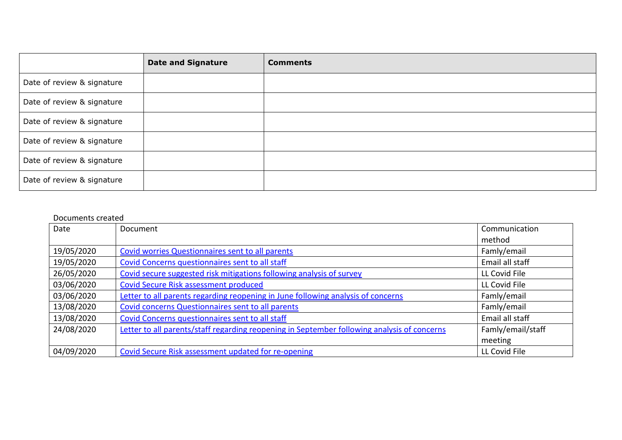|                            | <b>Date and Signature</b> | <b>Comments</b> |
|----------------------------|---------------------------|-----------------|
| Date of review & signature |                           |                 |
| Date of review & signature |                           |                 |
| Date of review & signature |                           |                 |
| Date of review & signature |                           |                 |
| Date of review & signature |                           |                 |
| Date of review & signature |                           |                 |

#### Documents created

| Date       | Document                                                                                    | Communication     |
|------------|---------------------------------------------------------------------------------------------|-------------------|
|            |                                                                                             | method            |
| 19/05/2020 | Covid worries Questionnaires sent to all parents                                            | Famly/email       |
| 19/05/2020 | Covid Concerns questionnaires sent to all staff                                             | Email all staff   |
| 26/05/2020 | Covid secure suggested risk mitigations following analysis of survey                        | LL Covid File     |
| 03/06/2020 | <b>Covid Secure Risk assessment produced</b>                                                | LL Covid File     |
| 03/06/2020 | Letter to all parents regarding reopening in June following analysis of concerns            | Famly/email       |
| 13/08/2020 | Covid concerns Questionnaires sent to all parents                                           | Famly/email       |
| 13/08/2020 | Covid Concerns questionnaires sent to all staff                                             | Email all staff   |
| 24/08/2020 | Letter to all parents/staff regarding reopening in September following analysis of concerns | Famly/email/staff |
|            |                                                                                             | meeting           |
| 04/09/2020 | Covid Secure Risk assessment updated for re-opening                                         | LL Covid File     |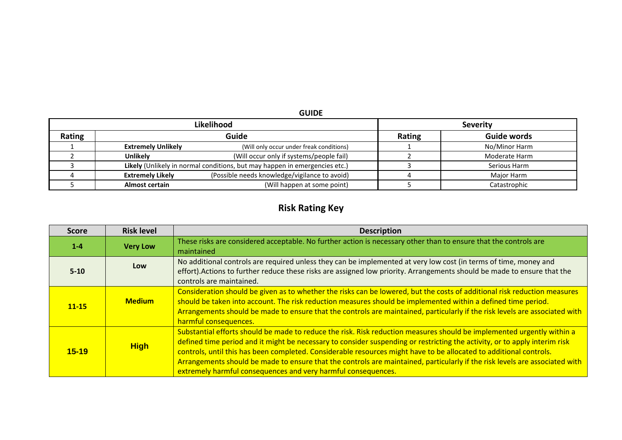#### **GUIDE**

|        | Likelihood                |                                                                            | <b>Severity</b> |               |  |  |
|--------|---------------------------|----------------------------------------------------------------------------|-----------------|---------------|--|--|
| Rating |                           | Guide                                                                      | Rating          | Guide words   |  |  |
|        | <b>Extremely Unlikely</b> | (Will only occur under freak conditions)                                   |                 | No/Minor Harm |  |  |
|        | <b>Unlikely</b>           | (Will occur only if systems/people fail)                                   |                 | Moderate Harm |  |  |
|        |                           | Likely (Unlikely in normal conditions, but may happen in emergencies etc.) |                 | Serious Harm  |  |  |
|        | <b>Extremely Likely</b>   | (Possible needs knowledge/vigilance to avoid)                              |                 | Major Harm    |  |  |
|        | <b>Almost certain</b>     | (Will happen at some point)                                                |                 | Catastrophic  |  |  |

### **Risk Rating Key**

| <b>Score</b> | <b>Risk level</b> | <b>Description</b>                                                                                                                                                                                                                                                                                                                                                                                                                                                                                                                                                         |
|--------------|-------------------|----------------------------------------------------------------------------------------------------------------------------------------------------------------------------------------------------------------------------------------------------------------------------------------------------------------------------------------------------------------------------------------------------------------------------------------------------------------------------------------------------------------------------------------------------------------------------|
| $1 - 4$      | <b>Very Low</b>   | These risks are considered acceptable. No further action is necessary other than to ensure that the controls are<br>maintained                                                                                                                                                                                                                                                                                                                                                                                                                                             |
| $5-10$       | Low               | No additional controls are required unless they can be implemented at very low cost (in terms of time, money and<br>effort). Actions to further reduce these risks are assigned low priority. Arrangements should be made to ensure that the<br>controls are maintained.                                                                                                                                                                                                                                                                                                   |
| $11 - 15$    | <b>Medium</b>     | Consideration should be given as to whether the risks can be lowered, but the costs of additional risk reduction measures<br>should be taken into account. The risk reduction measures should be implemented within a defined time period.<br>Arrangements should be made to ensure that the controls are maintained, particularly if the risk levels are associated with<br>harmful consequences.                                                                                                                                                                         |
| $15 - 19$    | <b>High</b>       | Substantial efforts should be made to reduce the risk. Risk reduction measures should be implemented urgently within a<br>defined time period and it might be necessary to consider suspending or restricting the activity, or to apply interim risk<br>controls, until this has been completed. Considerable resources might have to be allocated to additional controls.<br>Arrangements should be made to ensure that the controls are maintained, particularly if the risk levels are associated with<br>extremely harmful consequences and very harmful consequences. |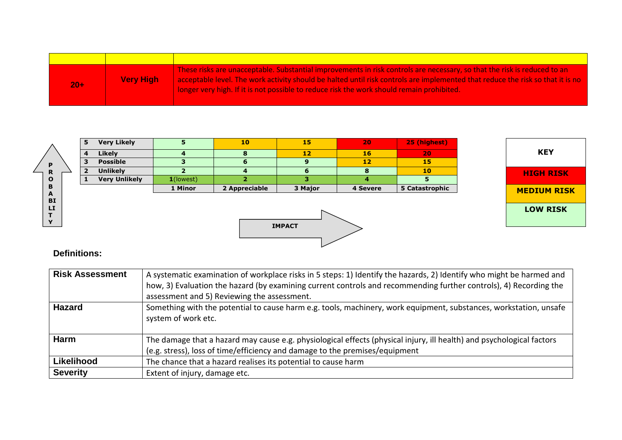| $20+$ | <b>Very High</b> | These risks are unacceptable. Substantial improvements in risk controls are necessary, so that the risk is reduced to an<br>acceptable level. The work activity should be halted until risk controls are implemented that reduce the risk so that it is no<br>l longer very high. If it is not possible to reduce risk the work should remain prohibited. |
|-------|------------------|-----------------------------------------------------------------------------------------------------------------------------------------------------------------------------------------------------------------------------------------------------------------------------------------------------------------------------------------------------------|

|                | 5                       | <b>Very Likely</b>   | 5.           | 10            | 15              | 20       | 25 (highest)   |                    |
|----------------|-------------------------|----------------------|--------------|---------------|-----------------|----------|----------------|--------------------|
|                | $\overline{\mathbf{4}}$ | <b>Likely</b>        |              | 8             | 12 <sub>2</sub> | 16       | 20             | <b>KEY</b>         |
| P              | 3                       | <b>Possible</b>      |              | 6             | 9               | 12       | 15             |                    |
| R              | $\mathbf{2}$            | <b>Unlikely</b>      |              | 4             | ь               | 8        | 10             | <b>HIGH RISK</b>   |
| $\mathbf{o}$   |                         | <b>Very Unlikely</b> | $1$ (lowest) |               |                 | 4        |                |                    |
| B              |                         |                      | 1 Minor      | 2 Appreciable | 3 Major         | 4 Severe | 5 Catastrophic | <b>MEDIUM RISK</b> |
| A<br><b>BI</b> |                         |                      |              |               |                 |          |                |                    |
| LI             |                         |                      |              |               |                 |          |                | <b>LOW RISK</b>    |
|                |                         |                      |              |               |                 |          |                |                    |
| $\mathbf{v}$   |                         |                      |              |               | <b>IMPACT</b>   |          |                |                    |
|                |                         |                      |              |               |                 |          |                |                    |
|                |                         |                      |              |               |                 |          |                |                    |

### **Definitions:**

| <b>Risk Assessment</b> | A systematic examination of workplace risks in 5 steps: 1) Identify the hazards, 2) Identify who might be harmed and<br>how, 3) Evaluation the hazard (by examining current controls and recommending further controls), 4) Recording the<br>assessment and 5) Reviewing the assessment. |
|------------------------|------------------------------------------------------------------------------------------------------------------------------------------------------------------------------------------------------------------------------------------------------------------------------------------|
| <b>Hazard</b>          | Something with the potential to cause harm e.g. tools, machinery, work equipment, substances, workstation, unsafe<br>system of work etc.                                                                                                                                                 |
| <b>Harm</b>            | The damage that a hazard may cause e.g. physiological effects (physical injury, ill health) and psychological factors<br>(e.g. stress), loss of time/efficiency and damage to the premises/equipment                                                                                     |
| Likelihood             | The chance that a hazard realises its potential to cause harm                                                                                                                                                                                                                            |
| <b>Severity</b>        | Extent of injury, damage etc.                                                                                                                                                                                                                                                            |